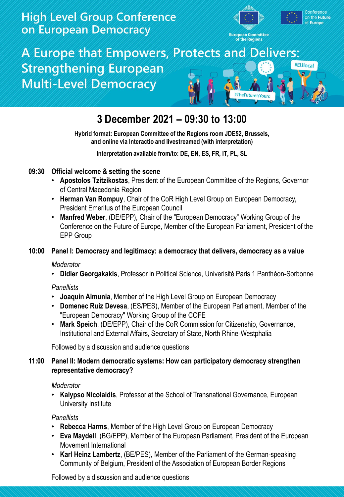### **High Level Group Conference** on European Democracy



# A Europe that Empowers, Protects and Delivers: **Strengthening European Multi-Level Democracy**



## **3 December 2021 – 09:30 to 13:00**

**Hybrid format: European Committee of the Regions room JDE52, Brussels, and online via Interactio and livestreamed (with interpretation)**

**Interpretation available from/to: DE, EN, ES, FR, IT, PL, SL**

### **09:30 Official welcome & setting the scene**

- **Apostolos Tzitzikostas**, President of the European Committee of the Regions, Governor of Central Macedonia Region
- **Herman Van Rompuy**, Chair of the CoR High Level Group on European Democracy, President Emeritus of the European Council
- **Manfred Weber**, (DE/EPP), Chair of the "European Democracy" Working Group of the Conference on the Future of Europe, Member of the European Parliament, President of the EPP Group

#### **10:00 Panel I: Democracy and legitimacy: a democracy that delivers, democracy as a value**

#### *Moderator*

• **Didier Georgakakis**, Professor in Political Science, Univerisité Paris 1 Panthéon-Sorbonne

#### *Panellists*

- **Joaquín Almunia**, Member of the High Level Group on European Democracy
- **Domenec Ruiz Devesa**, (ES/PES), Member of the European Parliament, Member of the "European Democracy" Working Group of the COFE
- **Mark Speich**, (DE/EPP), Chair of the CoR Commission for Citizenship, Governance, Institutional and External Affairs, Secretary of State, North Rhine-Westphalia

Followed by a discussion and audience questions

#### **11:00 Panel II: Modern democratic systems: How can participatory democracy strengthen representative democracy?**

#### *Moderator*

• **Kalypso Nicolaidis**, Professor at the School of Transnational Governance, European University Institute

*Panellists*

- **Rebecca Harms**, Member of the High Level Group on European Democracy
- **Eva Maydell**, (BG/EPP), Member of the European Parliament, President of the European Movement International
- **Karl Heinz Lambertz**, (BE/PES), Member of the Parliament of the German-speaking Community of Belgium, President of the Association of European Border Regions

Followed by a discussion and audience questions